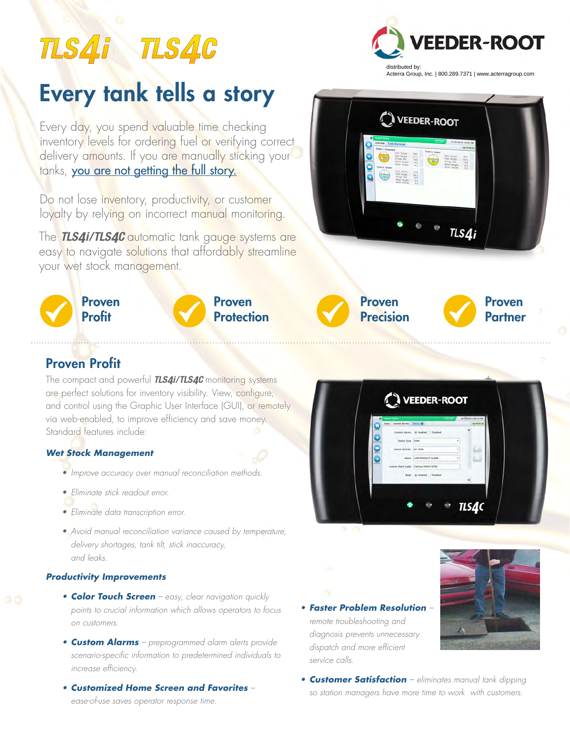# TLS4i TLS4C

## **FEDER-ROOT** distributed by: Acterra Group, Inc. | 800.289.7371 | www.acterragroup.com

## Every tank tells a story

Every day, you spend valuable time checking inventory levels for ordering fuel or verifying correct delivery amounts. If you are manually sticking your tanks, you are not getting the full story.

Do not lose inventory, productivity, or customer loyalty by relying on incorrect manual monitoring. *TLSX*

The *TLS4i/TLS4C* automatic tank gauge systems are easy to navigate so<mark>lution</mark>s that afford<mark>ably streamline</mark><br>your wet stock management. your wet stock management.









## Proven Profit

The compact and powerful *TLS4i/TLS4C* monitoring systems are perfect solutions for inventory visibility. View, configure, and control using the Graphic User Interface (GUI), or remotely via web-enabled, to improve efficiency and save money. Standard features include:

#### *Wet Stock Management*

- Improve accuracy over manual reconciliation methods.
- Eliminate stick readout error.
- Eliminate data transcription error.
- Avoid manual reconciliation variance caused by temperature, delivery shortages, tank tilt, stick inaccuracy, and leaks.

#### *Productivity Improvements*

- **Color Touch Screen** easy, clear navigation quickly points to crucial information which allows operators to focus on customers.
- **•** *Custom Alarms* preprogrammed alarm alerts provide scenario-specific information to predetermined individuals to increase efficiency.
- **•** *Customized Home Screen and Favorites* ease-of-use saves operator response time.



**•** *Faster Problem Resolution* – remote troubleshooting and diagnosis prevents unnecessary dispatch and more efficient service calls.



**•** *Customer Satisfaction* – eliminates manual tank dipping so station managers have more time to work with customers.